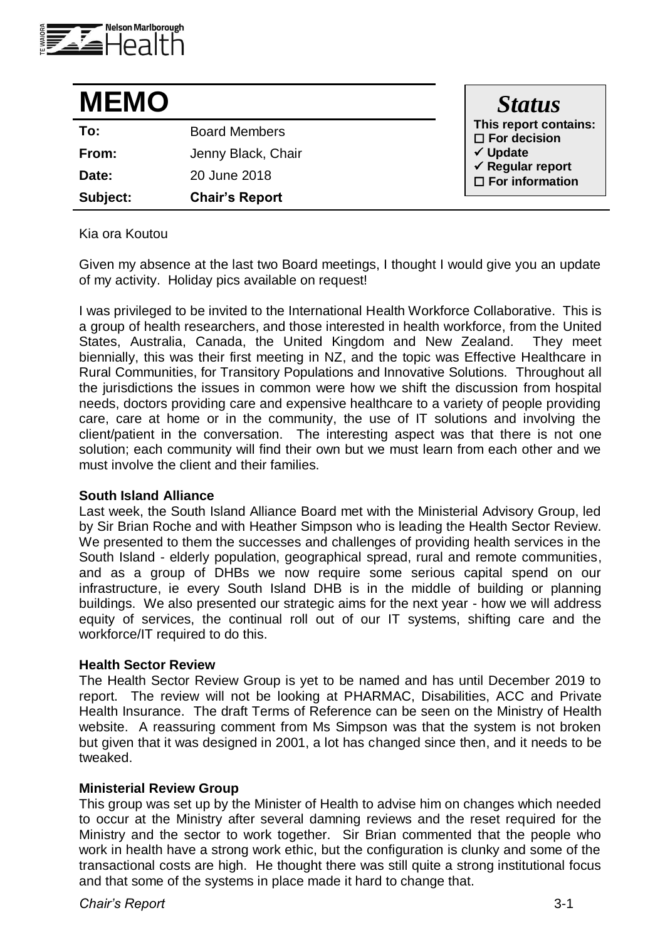

| <b>MEMO</b> |                       | <b>Status</b>                                         |
|-------------|-----------------------|-------------------------------------------------------|
| To:         | <b>Board Members</b>  | This report contains:<br>$\square$ For decision       |
| From:       | Jenny Black, Chair    | $\checkmark$ Update                                   |
| Date:       | 20 June 2018          | $\checkmark$ Regular report<br>$\Box$ For information |
| Subject:    | <b>Chair's Report</b> |                                                       |

Kia ora Koutou

Given my absence at the last two Board meetings, I thought I would give you an update of my activity. Holiday pics available on request!

I was privileged to be invited to the International Health Workforce Collaborative. This is a group of health researchers, and those interested in health workforce, from the United States, Australia, Canada, the United Kingdom and New Zealand. They meet biennially, this was their first meeting in NZ, and the topic was Effective Healthcare in Rural Communities, for Transitory Populations and Innovative Solutions. Throughout all the iurisdictions the issues in common were how we shift the discussion from hospital needs, doctors providing care and expensive healthcare to a variety of people providing care, care at home or in the community, the use of IT solutions and involving the client/patient in the conversation. The interesting aspect was that there is not one solution; each community will find their own but we must learn from each other and we must involve the client and their families.

### **South Island Alliance**

Last week, the South Island Alliance Board met with the Ministerial Advisory Group, led by Sir Brian Roche and with Heather Simpson who is leading the Health Sector Review. We presented to them the successes and challenges of providing health services in the South Island - elderly population, geographical spread, rural and remote communities, and as a group of DHBs we now require some serious capital spend on our infrastructure, ie every South Island DHB is in the middle of building or planning buildings. We also presented our strategic aims for the next year - how we will address equity of services, the continual roll out of our IT systems, shifting care and the workforce/IT required to do this.

# **Health Sector Review**

The Health Sector Review Group is yet to be named and has until December 2019 to report. The review will not be looking at PHARMAC, Disabilities, ACC and Private Health Insurance. The draft Terms of Reference can be seen on the Ministry of Health website. A reassuring comment from Ms Simpson was that the system is not broken but given that it was designed in 2001, a lot has changed since then, and it needs to be tweaked.

## **Ministerial Review Group**

This group was set up by the Minister of Health to advise him on changes which needed to occur at the Ministry after several damning reviews and the reset required for the Ministry and the sector to work together. Sir Brian commented that the people who work in health have a strong work ethic, but the configuration is clunky and some of the transactional costs are high. He thought there was still quite a strong institutional focus and that some of the systems in place made it hard to change that.